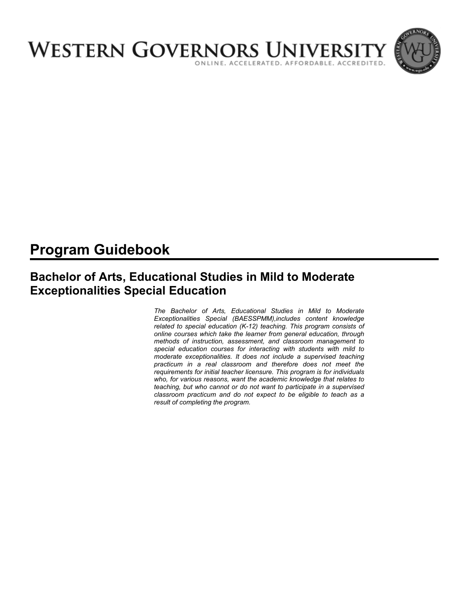

# **Program Guidebook**

## **Bachelor of Arts, Educational Studies in Mild to Moderate Exceptionalities Special Education**

*The Bachelor of Arts, Educational Studies in Mild to Moderate Exceptionalities Special (BAESSPMM),includes content knowledge related to special education (K-12) teaching. This program consists of online courses which take the learner from general education, through methods of instruction, assessment, and classroom management to special education courses for interacting with students with mild to moderate exceptionalities. It does not include a supervised teaching practicum in a real classroom and therefore does not meet the requirements for initial teacher licensure. This program is for individuals who, for various reasons, want the academic knowledge that relates to teaching, but who cannot or do not want to participate in a supervised classroom practicum and do not expect to be eligible to teach as a result of completing the program.*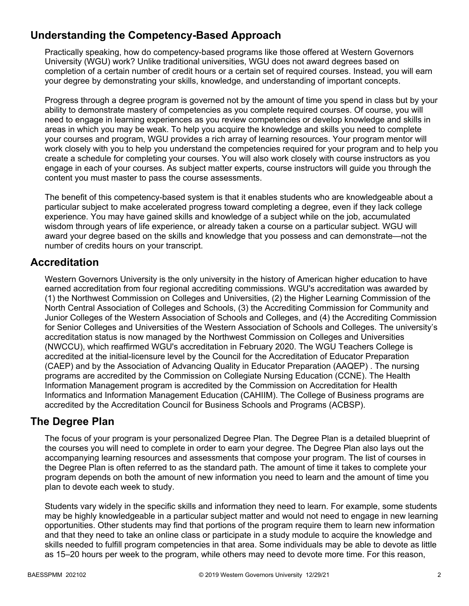## **Understanding the Competency-Based Approach**

Practically speaking, how do competency-based programs like those offered at Western Governors University (WGU) work? Unlike traditional universities, WGU does not award degrees based on completion of a certain number of credit hours or a certain set of required courses. Instead, you will earn your degree by demonstrating your skills, knowledge, and understanding of important concepts.

Progress through a degree program is governed not by the amount of time you spend in class but by your ability to demonstrate mastery of competencies as you complete required courses. Of course, you will need to engage in learning experiences as you review competencies or develop knowledge and skills in areas in which you may be weak. To help you acquire the knowledge and skills you need to complete your courses and program, WGU provides a rich array of learning resources. Your program mentor will work closely with you to help you understand the competencies required for your program and to help you create a schedule for completing your courses. You will also work closely with course instructors as you engage in each of your courses. As subject matter experts, course instructors will guide you through the content you must master to pass the course assessments.

The benefit of this competency-based system is that it enables students who are knowledgeable about a particular subject to make accelerated progress toward completing a degree, even if they lack college experience. You may have gained skills and knowledge of a subject while on the job, accumulated wisdom through years of life experience, or already taken a course on a particular subject. WGU will award your degree based on the skills and knowledge that you possess and can demonstrate—not the number of credits hours on your transcript.

## **Accreditation**

Western Governors University is the only university in the history of American higher education to have earned accreditation from four regional accrediting commissions. WGU's accreditation was awarded by (1) the Northwest Commission on Colleges and Universities, (2) the Higher Learning Commission of the North Central Association of Colleges and Schools, (3) the Accrediting Commission for Community and Junior Colleges of the Western Association of Schools and Colleges, and (4) the Accrediting Commission for Senior Colleges and Universities of the Western Association of Schools and Colleges. The university's accreditation status is now managed by the Northwest Commission on Colleges and Universities (NWCCU), which reaffirmed WGU's accreditation in February 2020. The WGU Teachers College is accredited at the initial-licensure level by the Council for the Accreditation of Educator Preparation (CAEP) and by the Association of Advancing Quality in Educator Preparation (AAQEP) . The nursing programs are accredited by the Commission on Collegiate Nursing Education (CCNE). The Health Information Management program is accredited by the Commission on Accreditation for Health Informatics and Information Management Education (CAHIIM). The College of Business programs are accredited by the Accreditation Council for Business Schools and Programs (ACBSP).

## **The Degree Plan**

The focus of your program is your personalized Degree Plan. The Degree Plan is a detailed blueprint of the courses you will need to complete in order to earn your degree. The Degree Plan also lays out the accompanying learning resources and assessments that compose your program. The list of courses in the Degree Plan is often referred to as the standard path. The amount of time it takes to complete your program depends on both the amount of new information you need to learn and the amount of time you plan to devote each week to study.

Students vary widely in the specific skills and information they need to learn. For example, some students may be highly knowledgeable in a particular subject matter and would not need to engage in new learning opportunities. Other students may find that portions of the program require them to learn new information and that they need to take an online class or participate in a study module to acquire the knowledge and skills needed to fulfill program competencies in that area. Some individuals may be able to devote as little as 15–20 hours per week to the program, while others may need to devote more time. For this reason,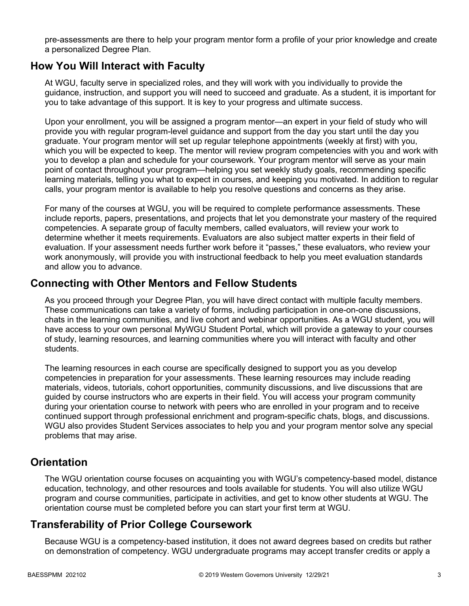pre-assessments are there to help your program mentor form a profile of your prior knowledge and create a personalized Degree Plan.

### **How You Will Interact with Faculty**

At WGU, faculty serve in specialized roles, and they will work with you individually to provide the guidance, instruction, and support you will need to succeed and graduate. As a student, it is important for you to take advantage of this support. It is key to your progress and ultimate success.

Upon your enrollment, you will be assigned a program mentor—an expert in your field of study who will provide you with regular program-level guidance and support from the day you start until the day you graduate. Your program mentor will set up regular telephone appointments (weekly at first) with you, which you will be expected to keep. The mentor will review program competencies with you and work with you to develop a plan and schedule for your coursework. Your program mentor will serve as your main point of contact throughout your program—helping you set weekly study goals, recommending specific learning materials, telling you what to expect in courses, and keeping you motivated. In addition to regular calls, your program mentor is available to help you resolve questions and concerns as they arise.

For many of the courses at WGU, you will be required to complete performance assessments. These include reports, papers, presentations, and projects that let you demonstrate your mastery of the required competencies. A separate group of faculty members, called evaluators, will review your work to determine whether it meets requirements. Evaluators are also subject matter experts in their field of evaluation. If your assessment needs further work before it "passes," these evaluators, who review your work anonymously, will provide you with instructional feedback to help you meet evaluation standards and allow you to advance.

### **Connecting with Other Mentors and Fellow Students**

As you proceed through your Degree Plan, you will have direct contact with multiple faculty members. These communications can take a variety of forms, including participation in one-on-one discussions, chats in the learning communities, and live cohort and webinar opportunities. As a WGU student, you will have access to your own personal MyWGU Student Portal, which will provide a gateway to your courses of study, learning resources, and learning communities where you will interact with faculty and other students.

The learning resources in each course are specifically designed to support you as you develop competencies in preparation for your assessments. These learning resources may include reading materials, videos, tutorials, cohort opportunities, community discussions, and live discussions that are guided by course instructors who are experts in their field. You will access your program community during your orientation course to network with peers who are enrolled in your program and to receive continued support through professional enrichment and program-specific chats, blogs, and discussions. WGU also provides Student Services associates to help you and your program mentor solve any special problems that may arise.

## **Orientation**

The WGU orientation course focuses on acquainting you with WGU's competency-based model, distance education, technology, and other resources and tools available for students. You will also utilize WGU program and course communities, participate in activities, and get to know other students at WGU. The orientation course must be completed before you can start your first term at WGU.

## **Transferability of Prior College Coursework**

Because WGU is a competency-based institution, it does not award degrees based on credits but rather on demonstration of competency. WGU undergraduate programs may accept transfer credits or apply a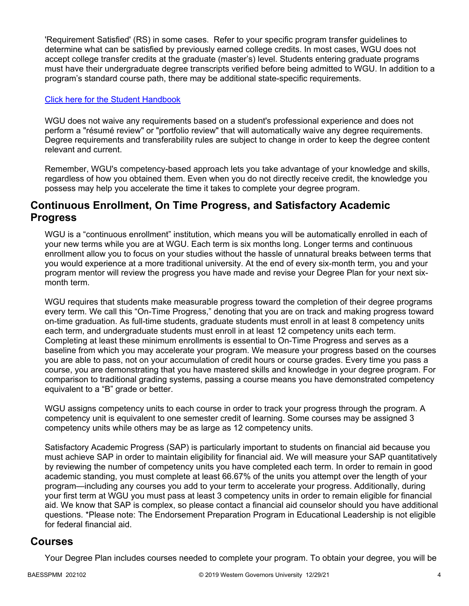'Requirement Satisfied' (RS) in some cases. Refer to your specific program transfer guidelines to determine what can be satisfied by previously earned college credits. In most cases, WGU does not accept college transfer credits at the graduate (master's) level. Students entering graduate programs must have their undergraduate degree transcripts verified before being admitted to WGU. In addition to a program's standard course path, there may be additional state-specific requirements.

### [Click here for the Student Handbook](http://cm.wgu.edu/)

WGU does not waive any requirements based on a student's professional experience and does not perform a "résumé review" or "portfolio review" that will automatically waive any degree requirements. Degree requirements and transferability rules are subject to change in order to keep the degree content relevant and current.

Remember, WGU's competency-based approach lets you take advantage of your knowledge and skills, regardless of how you obtained them. Even when you do not directly receive credit, the knowledge you possess may help you accelerate the time it takes to complete your degree program.

### **Continuous Enrollment, On Time Progress, and Satisfactory Academic Progress**

WGU is a "continuous enrollment" institution, which means you will be automatically enrolled in each of your new terms while you are at WGU. Each term is six months long. Longer terms and continuous enrollment allow you to focus on your studies without the hassle of unnatural breaks between terms that you would experience at a more traditional university. At the end of every six-month term, you and your program mentor will review the progress you have made and revise your Degree Plan for your next sixmonth term.

WGU requires that students make measurable progress toward the completion of their degree programs every term. We call this "On-Time Progress," denoting that you are on track and making progress toward on-time graduation. As full-time students, graduate students must enroll in at least 8 competency units each term, and undergraduate students must enroll in at least 12 competency units each term. Completing at least these minimum enrollments is essential to On-Time Progress and serves as a baseline from which you may accelerate your program. We measure your progress based on the courses you are able to pass, not on your accumulation of credit hours or course grades. Every time you pass a course, you are demonstrating that you have mastered skills and knowledge in your degree program. For comparison to traditional grading systems, passing a course means you have demonstrated competency equivalent to a "B" grade or better.

WGU assigns competency units to each course in order to track your progress through the program. A competency unit is equivalent to one semester credit of learning. Some courses may be assigned 3 competency units while others may be as large as 12 competency units.

Satisfactory Academic Progress (SAP) is particularly important to students on financial aid because you must achieve SAP in order to maintain eligibility for financial aid. We will measure your SAP quantitatively by reviewing the number of competency units you have completed each term. In order to remain in good academic standing, you must complete at least 66.67% of the units you attempt over the length of your program—including any courses you add to your term to accelerate your progress. Additionally, during your first term at WGU you must pass at least 3 competency units in order to remain eligible for financial aid. We know that SAP is complex, so please contact a financial aid counselor should you have additional questions. \*Please note: The Endorsement Preparation Program in Educational Leadership is not eligible for federal financial aid.

### **Courses**

Your Degree Plan includes courses needed to complete your program. To obtain your degree, you will be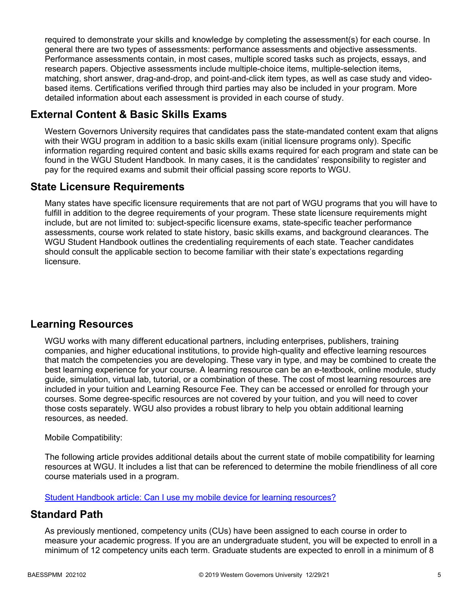required to demonstrate your skills and knowledge by completing the assessment(s) for each course. In general there are two types of assessments: performance assessments and objective assessments. Performance assessments contain, in most cases, multiple scored tasks such as projects, essays, and research papers. Objective assessments include multiple-choice items, multiple-selection items, matching, short answer, drag-and-drop, and point-and-click item types, as well as case study and videobased items. Certifications verified through third parties may also be included in your program. More detailed information about each assessment is provided in each course of study.

## **External Content & Basic Skills Exams**

Western Governors University requires that candidates pass the state-mandated content exam that aligns with their WGU program in addition to a basic skills exam (initial licensure programs only). Specific information regarding required content and basic skills exams required for each program and state can be found in the WGU Student Handbook. In many cases, it is the candidates' responsibility to register and pay for the required exams and submit their official passing score reports to WGU.

## **State Licensure Requirements**

Many states have specific licensure requirements that are not part of WGU programs that you will have to fulfill in addition to the degree requirements of your program. These state licensure requirements might include, but are not limited to: subject-specific licensure exams, state-specific teacher performance assessments, course work related to state history, basic skills exams, and background clearances. The WGU Student Handbook outlines the credentialing requirements of each state. Teacher candidates should consult the applicable section to become familiar with their state's expectations regarding licensure.

## **Learning Resources**

WGU works with many different educational partners, including enterprises, publishers, training companies, and higher educational institutions, to provide high-quality and effective learning resources that match the competencies you are developing. These vary in type, and may be combined to create the best learning experience for your course. A learning resource can be an e-textbook, online module, study guide, simulation, virtual lab, tutorial, or a combination of these. The cost of most learning resources are included in your tuition and Learning Resource Fee. They can be accessed or enrolled for through your courses. Some degree-specific resources are not covered by your tuition, and you will need to cover those costs separately. WGU also provides a robust library to help you obtain additional learning resources, as needed.

### Mobile Compatibility:

The following article provides additional details about the current state of mobile compatibility for learning resources at WGU. It includes a list that can be referenced to determine the mobile friendliness of all core course materials used in a program.

[Student Handbook article: Can I use my mobile device for learning resources?](https://cm.wgu.edu/t5/Frequently-Asked-Questions/Can-I-use-my-mobile-device-for-learning-resources/ta-p/396)

## **Standard Path**

As previously mentioned, competency units (CUs) have been assigned to each course in order to measure your academic progress. If you are an undergraduate student, you will be expected to enroll in a minimum of 12 competency units each term. Graduate students are expected to enroll in a minimum of 8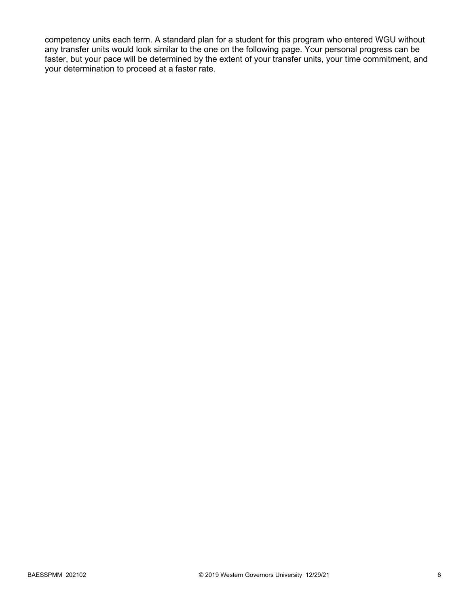competency units each term. A standard plan for a student for this program who entered WGU without any transfer units would look similar to the one on the following page. Your personal progress can be faster, but your pace will be determined by the extent of your transfer units, your time commitment, and your determination to proceed at a faster rate.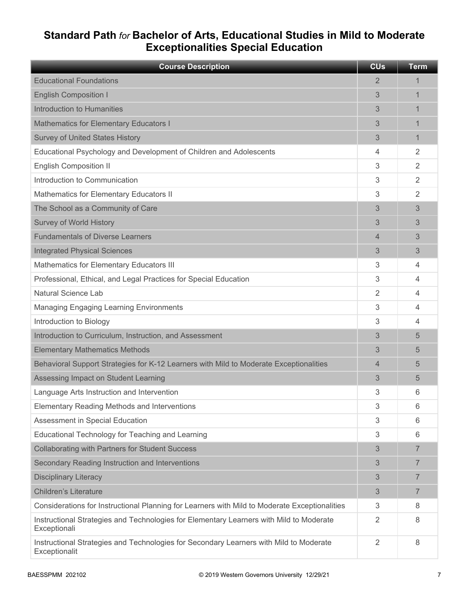## **Standard Path** *for* **Bachelor of Arts, Educational Studies in Mild to Moderate Exceptionalities Special Education**

| <b>Course Description</b>                                                                               | <b>CU<sub>s</sub></b> | <b>Term</b>    |
|---------------------------------------------------------------------------------------------------------|-----------------------|----------------|
| <b>Educational Foundations</b>                                                                          | 2                     | 1              |
| <b>English Composition I</b>                                                                            | 3                     | 1              |
| Introduction to Humanities                                                                              | 3                     | 1              |
| <b>Mathematics for Elementary Educators I</b>                                                           | 3                     | 1              |
| <b>Survey of United States History</b>                                                                  | 3                     | 1              |
| Educational Psychology and Development of Children and Adolescents                                      | 4                     | 2              |
| <b>English Composition II</b>                                                                           | 3                     | $\overline{2}$ |
| Introduction to Communication                                                                           | 3                     | $\overline{2}$ |
| Mathematics for Elementary Educators II                                                                 | 3                     | 2              |
| The School as a Community of Care                                                                       | 3                     | 3              |
| <b>Survey of World History</b>                                                                          | 3                     | 3              |
| <b>Fundamentals of Diverse Learners</b>                                                                 | 4                     | 3              |
| <b>Integrated Physical Sciences</b>                                                                     | 3                     | 3              |
| Mathematics for Elementary Educators III                                                                | 3                     | 4              |
| Professional, Ethical, and Legal Practices for Special Education                                        | 3                     | 4              |
| <b>Natural Science Lab</b>                                                                              | 2                     | 4              |
| <b>Managing Engaging Learning Environments</b>                                                          | 3                     | 4              |
| Introduction to Biology                                                                                 | 3                     | 4              |
| Introduction to Curriculum, Instruction, and Assessment                                                 | 3                     | 5              |
| <b>Elementary Mathematics Methods</b>                                                                   | 3                     | 5              |
| Behavioral Support Strategies for K-12 Learners with Mild to Moderate Exceptionalities                  | 4                     | 5              |
| Assessing Impact on Student Learning                                                                    | 3                     | 5              |
| Language Arts Instruction and Intervention                                                              | 3                     | 6              |
| <b>Elementary Reading Methods and Interventions</b>                                                     | 3                     | 6              |
| Assessment in Special Education                                                                         | 3                     | 6              |
| Educational Technology for Teaching and Learning                                                        | 3                     | 6              |
| <b>Collaborating with Partners for Student Success</b>                                                  | 3                     | $\overline{7}$ |
| Secondary Reading Instruction and Interventions                                                         | 3                     | $\overline{7}$ |
| <b>Disciplinary Literacy</b>                                                                            | 3                     | $\overline{7}$ |
| <b>Children's Literature</b>                                                                            | 3                     | $\overline{7}$ |
| Considerations for Instructional Planning for Learners with Mild to Moderate Exceptionalities           | 3                     | 8              |
| Instructional Strategies and Technologies for Elementary Learners with Mild to Moderate<br>Exceptionali | $\overline{2}$        | 8              |
| Instructional Strategies and Technologies for Secondary Learners with Mild to Moderate<br>Exceptionalit | $\overline{2}$        | 8              |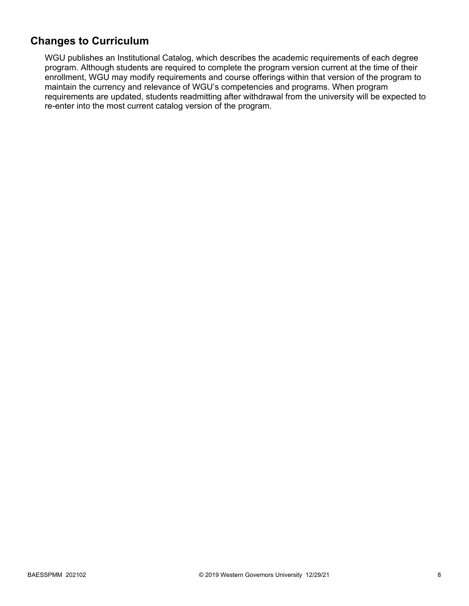## **Changes to Curriculum**

WGU publishes an Institutional Catalog, which describes the academic requirements of each degree program. Although students are required to complete the program version current at the time of their enrollment, WGU may modify requirements and course offerings within that version of the program to maintain the currency and relevance of WGU's competencies and programs. When program requirements are updated, students readmitting after withdrawal from the university will be expected to re-enter into the most current catalog version of the program.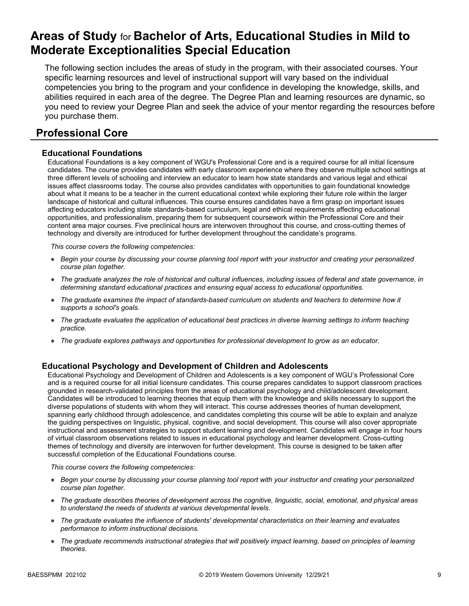## **Areas of Study** for **Bachelor of Arts, Educational Studies in Mild to Moderate Exceptionalities Special Education**

The following section includes the areas of study in the program, with their associated courses. Your specific learning resources and level of instructional support will vary based on the individual competencies you bring to the program and your confidence in developing the knowledge, skills, and abilities required in each area of the degree. The Degree Plan and learning resources are dynamic, so you need to review your Degree Plan and seek the advice of your mentor regarding the resources before you purchase them.

## **Professional Core**

### **Educational Foundations**

Educational Foundations is a key component of WGU's Professional Core and is a required course for all initial licensure candidates. The course provides candidates with early classroom experience where they observe multiple school settings at three different levels of schooling and interview an educator to learn how state standards and various legal and ethical issues affect classrooms today. The course also provides candidates with opportunities to gain foundational knowledge about what it means to be a teacher in the current educational context while exploring their future role within the larger landscape of historical and cultural influences. This course ensures candidates have a firm grasp on important issues affecting educators including state standards-based curriculum, legal and ethical requirements affecting educational opportunities, and professionalism, preparing them for subsequent coursework within the Professional Core and their content area major courses. Five preclinical hours are interwoven throughout this course, and cross-cutting themes of technology and diversity are introduced for further development throughout the candidate's programs.

*This course covers the following competencies:*

- *Begin your course by discussing your course planning tool report with your instructor and creating your personalized course plan together.*
- *The graduate analyzes the role of historical and cultural influences, including issues of federal and state governance, in determining standard educational practices and ensuring equal access to educational opportunities.*
- *The graduate examines the impact of standards-based curriculum on students and teachers to determine how it supports a school's goals.*
- *The graduate evaluates the application of educational best practices in diverse learning settings to inform teaching practice.*
- *The graduate explores pathways and opportunities for professional development to grow as an educator.*

### **Educational Psychology and Development of Children and Adolescents**

Educational Psychology and Development of Children and Adolescents is a key component of WGU's Professional Core and is a required course for all initial licensure candidates. This course prepares candidates to support classroom practices grounded in research-validated principles from the areas of educational psychology and child/adolescent development. Candidates will be introduced to learning theories that equip them with the knowledge and skills necessary to support the diverse populations of students with whom they will interact. This course addresses theories of human development, spanning early childhood through adolescence, and candidates completing this course will be able to explain and analyze the guiding perspectives on linguistic, physical, cognitive, and social development. This course will also cover appropriate instructional and assessment strategies to support student learning and development. Candidates will engage in four hours of virtual classroom observations related to issues in educational psychology and learner development. Cross-cutting themes of technology and diversity are interwoven for further development. This course is designed to be taken after successful completion of the Educational Foundations course.

- *Begin your course by discussing your course planning tool report with your instructor and creating your personalized course plan together.*
- *The graduate describes theories of development across the cognitive, linguistic, social, emotional, and physical areas to understand the needs of students at various developmental levels.*
- *The graduate evaluates the influence of students' developmental characteristics on their learning and evaluates performance to inform instructional decisions.*
- *The graduate recommends instructional strategies that will positively impact learning, based on principles of learning theories.*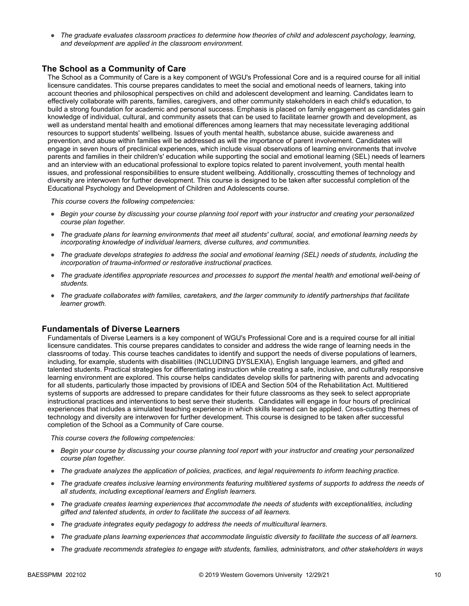● *The graduate evaluates classroom practices to determine how theories of child and adolescent psychology, learning, and development are applied in the classroom environment.*

### **The School as a Community of Care**

The School as a Community of Care is a key component of WGU's Professional Core and is a required course for all initial licensure candidates. This course prepares candidates to meet the social and emotional needs of learners, taking into account theories and philosophical perspectives on child and adolescent development and learning. Candidates learn to effectively collaborate with parents, families, caregivers, and other community stakeholders in each child's education, to build a strong foundation for academic and personal success. Emphasis is placed on family engagement as candidates gain knowledge of individual, cultural, and community assets that can be used to facilitate learner growth and development, as well as understand mental health and emotional differences among learners that may necessitate leveraging additional resources to support students' wellbeing. Issues of youth mental health, substance abuse, suicide awareness and prevention, and abuse within families will be addressed as will the importance of parent involvement. Candidates will engage in seven hours of preclinical experiences, which include visual observations of learning environments that involve parents and families in their children's' education while supporting the social and emotional learning (SEL) needs of learners and an interview with an educational professional to explore topics related to parent involvement, youth mental health issues, and professional responsibilities to ensure student wellbeing. Additionally, crosscutting themes of technology and diversity are interwoven for further development. This course is designed to be taken after successful completion of the Educational Psychology and Development of Children and Adolescents course.

*This course covers the following competencies:*

- *Begin your course by discussing your course planning tool report with your instructor and creating your personalized course plan together.*
- *The graduate plans for learning environments that meet all students' cultural, social, and emotional learning needs by incorporating knowledge of individual learners, diverse cultures, and communities.*
- *The graduate develops strategies to address the social and emotional learning (SEL) needs of students, including the incorporation of trauma-informed or restorative instructional practices.*
- *The graduate identifies appropriate resources and processes to support the mental health and emotional well-being of students.*
- *The graduate collaborates with families, caretakers, and the larger community to identify partnerships that facilitate learner growth.*

#### **Fundamentals of Diverse Learners**

Fundamentals of Diverse Learners is a key component of WGU's Professional Core and is a required course for all initial licensure candidates. This course prepares candidates to consider and address the wide range of learning needs in the classrooms of today. This course teaches candidates to identify and support the needs of diverse populations of learners, including, for example, students with disabilities (INCLUDING DYSLEXIA), English language learners, and gifted and talented students. Practical strategies for differentiating instruction while creating a safe, inclusive, and culturally responsive learning environment are explored. This course helps candidates develop skills for partnering with parents and advocating for all students, particularly those impacted by provisions of IDEA and Section 504 of the Rehabilitation Act. Multitiered systems of supports are addressed to prepare candidates for their future classrooms as they seek to select appropriate instructional practices and interventions to best serve their students. Candidates will engage in four hours of preclinical experiences that includes a simulated teaching experience in which skills learned can be applied. Cross-cutting themes of technology and diversity are interwoven for further development. This course is designed to be taken after successful completion of the School as a Community of Care course.

- *Begin your course by discussing your course planning tool report with your instructor and creating your personalized course plan together.*
- *The graduate analyzes the application of policies, practices, and legal requirements to inform teaching practice.*
- *The graduate creates inclusive learning environments featuring multitiered systems of supports to address the needs of all students, including exceptional learners and English learners.*
- *The graduate creates learning experiences that accommodate the needs of students with exceptionalities, including gifted and talented students, in order to facilitate the success of all learners.*
- *The graduate integrates equity pedagogy to address the needs of multicultural learners.*
- *The graduate plans learning experiences that accommodate linguistic diversity to facilitate the success of all learners.*
- *The graduate recommends strategies to engage with students, families, administrators, and other stakeholders in ways*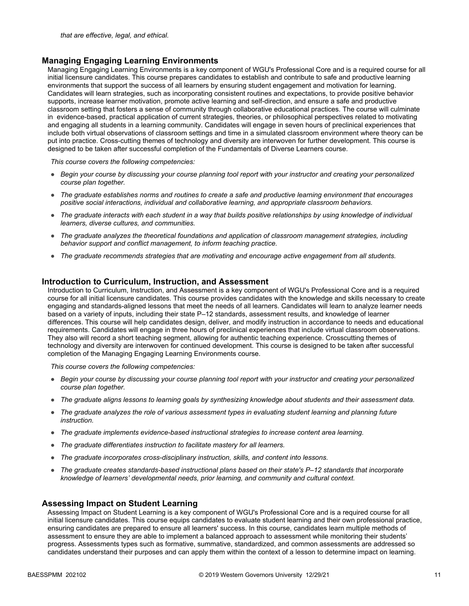### **Managing Engaging Learning Environments**

Managing Engaging Learning Environments is a key component of WGU's Professional Core and is a required course for all initial licensure candidates. This course prepares candidates to establish and contribute to safe and productive learning environments that support the success of all learners by ensuring student engagement and motivation for learning. Candidates will learn strategies, such as incorporating consistent routines and expectations, to provide positive behavior supports, increase learner motivation, promote active learning and self-direction, and ensure a safe and productive classroom setting that fosters a sense of community through collaborative educational practices. The course will culminate in evidence-based, practical application of current strategies, theories, or philosophical perspectives related to motivating and engaging all students in a learning community. Candidates will engage in seven hours of preclinical experiences that include both virtual observations of classroom settings and time in a simulated classroom environment where theory can be put into practice. Cross-cutting themes of technology and diversity are interwoven for further development. This course is designed to be taken after successful completion of the Fundamentals of Diverse Learners course.

*This course covers the following competencies:*

- *Begin your course by discussing your course planning tool report with your instructor and creating your personalized course plan together.*
- *The graduate establishes norms and routines to create a safe and productive learning environment that encourages positive social interactions, individual and collaborative learning, and appropriate classroom behaviors.*
- *The graduate interacts with each student in a way that builds positive relationships by using knowledge of individual learners, diverse cultures, and communities.*
- *The graduate analyzes the theoretical foundations and application of classroom management strategies, including behavior support and conflict management, to inform teaching practice.*
- *The graduate recommends strategies that are motivating and encourage active engagement from all students.*

### **Introduction to Curriculum, Instruction, and Assessment**

Introduction to Curriculum, Instruction, and Assessment is a key component of WGU's Professional Core and is a required course for all initial licensure candidates. This course provides candidates with the knowledge and skills necessary to create engaging and standards-aligned lessons that meet the needs of all learners. Candidates will learn to analyze learner needs based on a variety of inputs, including their state P–12 standards, assessment results, and knowledge of learner differences. This course will help candidates design, deliver, and modify instruction in accordance to needs and educational requirements. Candidates will engage in three hours of preclinical experiences that include virtual classroom observations. They also will record a short teaching segment, allowing for authentic teaching experience. Crosscutting themes of technology and diversity are interwoven for continued development. This course is designed to be taken after successful completion of the Managing Engaging Learning Environments course.

*This course covers the following competencies:*

- *Begin your course by discussing your course planning tool report with your instructor and creating your personalized course plan together.*
- *The graduate aligns lessons to learning goals by synthesizing knowledge about students and their assessment data.*
- *The graduate analyzes the role of various assessment types in evaluating student learning and planning future instruction.*
- *The graduate implements evidence-based instructional strategies to increase content area learning.*
- *The graduate differentiates instruction to facilitate mastery for all learners.*
- *The graduate incorporates cross-disciplinary instruction, skills, and content into lessons.*
- *The graduate creates standards-based instructional plans based on their state's P–12 standards that incorporate knowledge of learners' developmental needs, prior learning, and community and cultural context.*

#### **Assessing Impact on Student Learning**

Assessing Impact on Student Learning is a key component of WGU's Professional Core and is a required course for all initial licensure candidates. This course equips candidates to evaluate student learning and their own professional practice, ensuring candidates are prepared to ensure all learners' success. In this course, candidates learn multiple methods of assessment to ensure they are able to implement a balanced approach to assessment while monitoring their students' progress. Assessments types such as formative, summative, standardized, and common assessments are addressed so candidates understand their purposes and can apply them within the context of a lesson to determine impact on learning.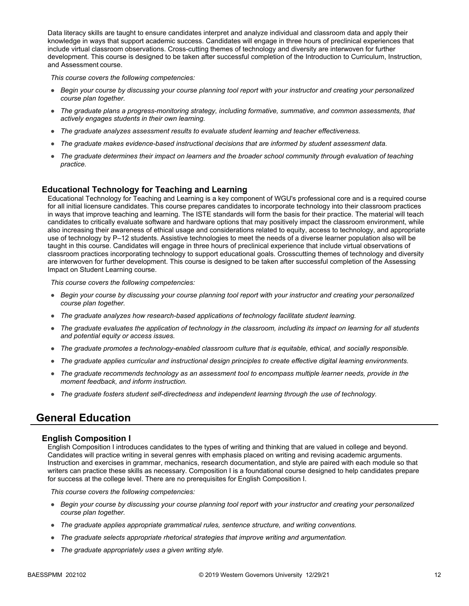Data literacy skills are taught to ensure candidates interpret and analyze individual and classroom data and apply their knowledge in ways that support academic success. Candidates will engage in three hours of preclinical experiences that include virtual classroom observations. Cross-cutting themes of technology and diversity are interwoven for further development. This course is designed to be taken after successful completion of the Introduction to Curriculum, Instruction, and Assessment course.

*This course covers the following competencies:*

- *Begin your course by discussing your course planning tool report with your instructor and creating your personalized course plan together.*
- *The graduate plans a progress-monitoring strategy, including formative, summative, and common assessments, that actively engages students in their own learning.*
- *The graduate analyzes assessment results to evaluate student learning and teacher effectiveness.*
- *The graduate makes evidence-based instructional decisions that are informed by student assessment data.*
- *The graduate determines their impact on learners and the broader school community through evaluation of teaching practice.*

### **Educational Technology for Teaching and Learning**

Educational Technology for Teaching and Learning is a key component of WGU's professional core and is a required course for all initial licensure candidates. This course prepares candidates to incorporate technology into their classroom practices in ways that improve teaching and learning. The ISTE standards will form the basis for their practice. The material will teach candidates to critically evaluate software and hardware options that may positively impact the classroom environment, while also increasing their awareness of ethical usage and considerations related to equity, access to technology, and appropriate use of technology by P–12 students. Assistive technologies to meet the needs of a diverse learner population also will be taught in this course. Candidates will engage in three hours of preclinical experience that include virtual observations of classroom practices incorporating technology to support educational goals. Crosscutting themes of technology and diversity are interwoven for further development. This course is designed to be taken after successful completion of the Assessing Impact on Student Learning course.

*This course covers the following competencies:*

- *Begin your course by discussing your course planning tool report with your instructor and creating your personalized course plan together.*
- *The graduate analyzes how research-based applications of technology facilitate student learning.*
- *The graduate evaluates the application of technology in the classroom, including its impact on learning for all students and potential equity or access issues.*
- *The graduate promotes a technology-enabled classroom culture that is equitable, ethical, and socially responsible.*
- *The graduate applies curricular and instructional design principles to create effective digital learning environments.*
- *The graduate recommends technology as an assessment tool to encompass multiple learner needs, provide in the moment feedback, and inform instruction.*
- *The graduate fosters student self-directedness and independent learning through the use of technology.*

### **General Education**

#### **English Composition I**

English Composition I introduces candidates to the types of writing and thinking that are valued in college and beyond. Candidates will practice writing in several genres with emphasis placed on writing and revising academic arguments. Instruction and exercises in grammar, mechanics, research documentation, and style are paired with each module so that writers can practice these skills as necessary. Composition I is a foundational course designed to help candidates prepare for success at the college level. There are no prerequisites for English Composition I.

- *Begin your course by discussing your course planning tool report with your instructor and creating your personalized course plan together.*
- *The graduate applies appropriate grammatical rules, sentence structure, and writing conventions.*
- *The graduate selects appropriate rhetorical strategies that improve writing and argumentation.*
- *The graduate appropriately uses a given writing style.*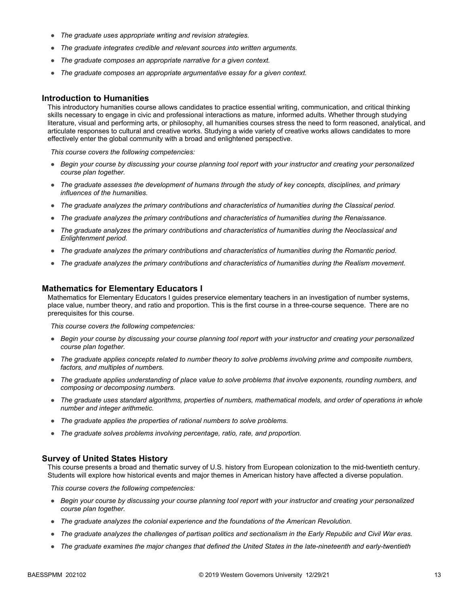- *The graduate uses appropriate writing and revision strategies.*
- *The graduate integrates credible and relevant sources into written arguments.*
- *The graduate composes an appropriate narrative for a given context.*
- *The graduate composes an appropriate argumentative essay for a given context.*

#### **Introduction to Humanities**

This introductory humanities course allows candidates to practice essential writing, communication, and critical thinking skills necessary to engage in civic and professional interactions as mature, informed adults. Whether through studying literature, visual and performing arts, or philosophy, all humanities courses stress the need to form reasoned, analytical, and articulate responses to cultural and creative works. Studying a wide variety of creative works allows candidates to more effectively enter the global community with a broad and enlightened perspective.

*This course covers the following competencies:*

- *Begin your course by discussing your course planning tool report with your instructor and creating your personalized course plan together.*
- *The graduate assesses the development of humans through the study of key concepts, disciplines, and primary influences of the humanities.*
- *The graduate analyzes the primary contributions and characteristics of humanities during the Classical period.*
- *The graduate analyzes the primary contributions and characteristics of humanities during the Renaissance.*
- *The graduate analyzes the primary contributions and characteristics of humanities during the Neoclassical and Enlightenment period.*
- *The graduate analyzes the primary contributions and characteristics of humanities during the Romantic period.*
- *The graduate analyzes the primary contributions and characteristics of humanities during the Realism movement.*

#### **Mathematics for Elementary Educators I**

Mathematics for Elementary Educators I guides preservice elementary teachers in an investigation of number systems, place value, number theory, and ratio and proportion. This is the first course in a three-course sequence. There are no prerequisites for this course.

*This course covers the following competencies:*

- *Begin your course by discussing your course planning tool report with your instructor and creating your personalized course plan together.*
- *The graduate applies concepts related to number theory to solve problems involving prime and composite numbers, factors, and multiples of numbers.*
- *The graduate applies understanding of place value to solve problems that involve exponents, rounding numbers, and composing or decomposing numbers.*
- *The graduate uses standard algorithms, properties of numbers, mathematical models, and order of operations in whole number and integer arithmetic.*
- *The graduate applies the properties of rational numbers to solve problems.*
- *The graduate solves problems involving percentage, ratio, rate, and proportion.*

#### **Survey of United States History**

This course presents a broad and thematic survey of U.S. history from European colonization to the mid-twentieth century. Students will explore how historical events and major themes in American history have affected a diverse population.

- *Begin your course by discussing your course planning tool report with your instructor and creating your personalized course plan together.*
- *The graduate analyzes the colonial experience and the foundations of the American Revolution.*
- *The graduate analyzes the challenges of partisan politics and sectionalism in the Early Republic and Civil War eras.*
- *The graduate examines the major changes that defined the United States in the late-nineteenth and early-twentieth*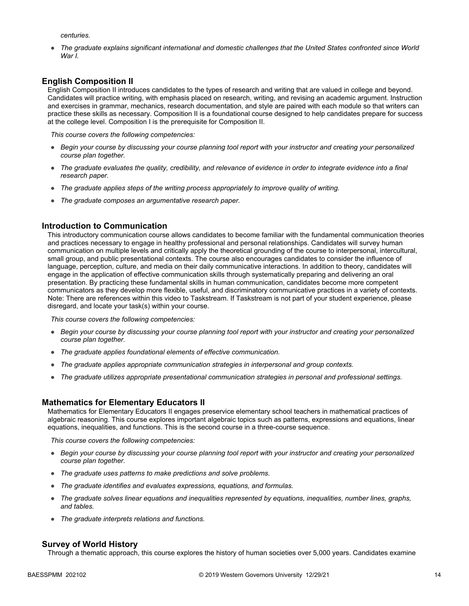*centuries.* 

● *The graduate explains significant international and domestic challenges that the United States confronted since World War I.* 

### **English Composition II**

English Composition II introduces candidates to the types of research and writing that are valued in college and beyond. Candidates will practice writing, with emphasis placed on research, writing, and revising an academic argument. Instruction and exercises in grammar, mechanics, research documentation, and style are paired with each module so that writers can practice these skills as necessary. Composition II is a foundational course designed to help candidates prepare for success at the college level. Composition I is the prerequisite for Composition II.

*This course covers the following competencies:*

- *Begin your course by discussing your course planning tool report with your instructor and creating your personalized course plan together.*
- *The graduate evaluates the quality, credibility, and relevance of evidence in order to integrate evidence into a final research paper.*
- *The graduate applies steps of the writing process appropriately to improve quality of writing.*
- *The graduate composes an argumentative research paper.*

### **Introduction to Communication**

This introductory communication course allows candidates to become familiar with the fundamental communication theories and practices necessary to engage in healthy professional and personal relationships. Candidates will survey human communication on multiple levels and critically apply the theoretical grounding of the course to interpersonal, intercultural, small group, and public presentational contexts. The course also encourages candidates to consider the influence of language, perception, culture, and media on their daily communicative interactions. In addition to theory, candidates will engage in the application of effective communication skills through systematically preparing and delivering an oral presentation. By practicing these fundamental skills in human communication, candidates become more competent communicators as they develop more flexible, useful, and discriminatory communicative practices in a variety of contexts. Note: There are references within this video to Taskstream. If Taskstream is not part of your student experience, please disregard, and locate your task(s) within your course.

*This course covers the following competencies:*

- *Begin your course by discussing your course planning tool report with your instructor and creating your personalized course plan together.*
- *The graduate applies foundational elements of effective communication.*
- *The graduate applies appropriate communication strategies in interpersonal and group contexts.*
- *The graduate utilizes appropriate presentational communication strategies in personal and professional settings.*

#### **Mathematics for Elementary Educators II**

Mathematics for Elementary Educators II engages preservice elementary school teachers in mathematical practices of algebraic reasoning. This course explores important algebraic topics such as patterns, expressions and equations, linear equations, inequalities, and functions. This is the second course in a three-course sequence.

*This course covers the following competencies:*

- *Begin your course by discussing your course planning tool report with your instructor and creating your personalized course plan together.*
- *The graduate uses patterns to make predictions and solve problems.*
- *The graduate identifies and evaluates expressions, equations, and formulas.*
- *The graduate solves linear equations and inequalities represented by equations, inequalities, number lines, graphs, and tables.*
- *The graduate interprets relations and functions.*

#### **Survey of World History**

Through a thematic approach, this course explores the history of human societies over 5,000 years. Candidates examine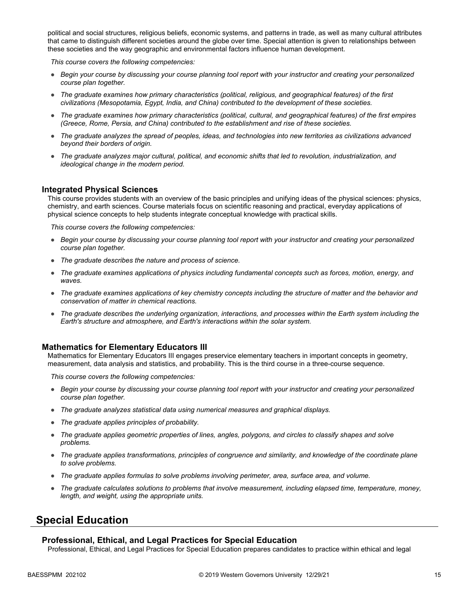political and social structures, religious beliefs, economic systems, and patterns in trade, as well as many cultural attributes that came to distinguish different societies around the globe over time. Special attention is given to relationships between these societies and the way geographic and environmental factors influence human development.

*This course covers the following competencies:*

- *Begin your course by discussing your course planning tool report with your instructor and creating your personalized course plan together.*
- *The graduate examines how primary characteristics (political, religious, and geographical features) of the first civilizations (Mesopotamia, Egypt, India, and China) contributed to the development of these societies.*
- *The graduate examines how primary characteristics (political, cultural, and geographical features) of the first empires (Greece, Rome, Persia, and China) contributed to the establishment and rise of these societies.*
- *The graduate analyzes the spread of peoples, ideas, and technologies into new territories as civilizations advanced beyond their borders of origin.*
- *The graduate analyzes major cultural, political, and economic shifts that led to revolution, industrialization, and ideological change in the modern period.*

### **Integrated Physical Sciences**

This course provides students with an overview of the basic principles and unifying ideas of the physical sciences: physics, chemistry, and earth sciences. Course materials focus on scientific reasoning and practical, everyday applications of physical science concepts to help students integrate conceptual knowledge with practical skills.

*This course covers the following competencies:*

- *Begin your course by discussing your course planning tool report with your instructor and creating your personalized course plan together.*
- *The graduate describes the nature and process of science.*
- *The graduate examines applications of physics including fundamental concepts such as forces, motion, energy, and waves.*
- *The graduate examines applications of key chemistry concepts including the structure of matter and the behavior and conservation of matter in chemical reactions.*
- *The graduate describes the underlying organization, interactions, and processes within the Earth system including the Earth's structure and atmosphere, and Earth's interactions within the solar system.*

#### **Mathematics for Elementary Educators III**

Mathematics for Elementary Educators III engages preservice elementary teachers in important concepts in geometry, measurement, data analysis and statistics, and probability. This is the third course in a three-course sequence.

*This course covers the following competencies:*

- *Begin your course by discussing your course planning tool report with your instructor and creating your personalized course plan together.*
- *The graduate analyzes statistical data using numerical measures and graphical displays.*
- *The graduate applies principles of probability.*
- *The graduate applies geometric properties of lines, angles, polygons, and circles to classify shapes and solve problems.*
- *The graduate applies transformations, principles of congruence and similarity, and knowledge of the coordinate plane to solve problems.*
- *The graduate applies formulas to solve problems involving perimeter, area, surface area, and volume.*
- *The graduate calculates solutions to problems that involve measurement, including elapsed time, temperature, money, length, and weight, using the appropriate units.*

### **Special Education**

#### **Professional, Ethical, and Legal Practices for Special Education**

Professional, Ethical, and Legal Practices for Special Education prepares candidates to practice within ethical and legal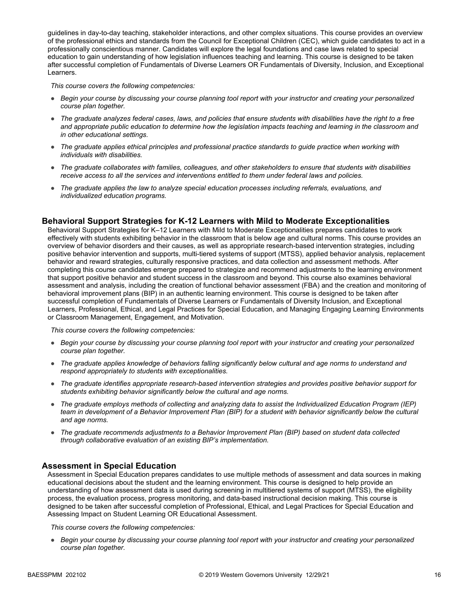guidelines in day-to-day teaching, stakeholder interactions, and other complex situations. This course provides an overview of the professional ethics and standards from the Council for Exceptional Children (CEC), which guide candidates to act in a professionally conscientious manner. Candidates will explore the legal foundations and case laws related to special education to gain understanding of how legislation influences teaching and learning. This course is designed to be taken after successful completion of Fundamentals of Diverse Learners OR Fundamentals of Diversity, Inclusion, and Exceptional Learners.

*This course covers the following competencies:*

- *Begin your course by discussing your course planning tool report with your instructor and creating your personalized course plan together.*
- *The graduate analyzes federal cases, laws, and policies that ensure students with disabilities have the right to a free*  and appropriate public education to determine how the legislation impacts teaching and learning in the classroom and *in other educational settings.*
- *The graduate applies ethical principles and professional practice standards to guide practice when working with individuals with disabilities.*
- *The graduate collaborates with families, colleagues, and other stakeholders to ensure that students with disabilities receive access to all the services and interventions entitled to them under federal laws and policies.*
- *The graduate applies the law to analyze special education processes including referrals, evaluations, and individualized education programs.*

### **Behavioral Support Strategies for K-12 Learners with Mild to Moderate Exceptionalities**

Behavioral Support Strategies for K–12 Learners with Mild to Moderate Exceptionalities prepares candidates to work effectively with students exhibiting behavior in the classroom that is below age and cultural norms. This course provides an overview of behavior disorders and their causes, as well as appropriate research-based intervention strategies, including positive behavior intervention and supports, multi-tiered systems of support (MTSS), applied behavior analysis, replacement behavior and reward strategies, culturally responsive practices, and data collection and assessment methods. After completing this course candidates emerge prepared to strategize and recommend adjustments to the learning environment that support positive behavior and student success in the classroom and beyond. This course also examines behavioral assessment and analysis, including the creation of functional behavior assessment (FBA) and the creation and monitoring of behavioral improvement plans (BIP) in an authentic learning environment. This course is designed to be taken after successful completion of Fundamentals of Diverse Learners or Fundamentals of Diversity Inclusion, and Exceptional Learners, Professional, Ethical, and Legal Practices for Special Education, and Managing Engaging Learning Environments or Classroom Management, Engagement, and Motivation.

*This course covers the following competencies:*

- *Begin your course by discussing your course planning tool report with your instructor and creating your personalized course plan together.*
- *The graduate applies knowledge of behaviors falling significantly below cultural and age norms to understand and respond appropriately to students with exceptionalities.*
- *The graduate identifies appropriate research-based intervention strategies and provides positive behavior support for students exhibiting behavior significantly below the cultural and age norms.*
- *The graduate employs methods of collecting and analyzing data to assist the Individualized Education Program (IEP) team in development of a Behavior Improvement Plan (BIP) for a student with behavior significantly below the cultural and age norms.*
- *The graduate recommends adjustments to a Behavior Improvement Plan (BIP) based on student data collected through collaborative evaluation of an existing BIP's implementation.*

### **Assessment in Special Education**

Assessment in Special Education prepares candidates to use multiple methods of assessment and data sources in making educational decisions about the student and the learning environment. This course is designed to help provide an understanding of how assessment data is used during screening in multitiered systems of support (MTSS), the eligibility process, the evaluation process, progress monitoring, and data-based instructional decision making. This course is designed to be taken after successful completion of Professional, Ethical, and Legal Practices for Special Education and Assessing Impact on Student Learning OR Educational Assessment.

*This course covers the following competencies:*

● *Begin your course by discussing your course planning tool report with your instructor and creating your personalized course plan together.*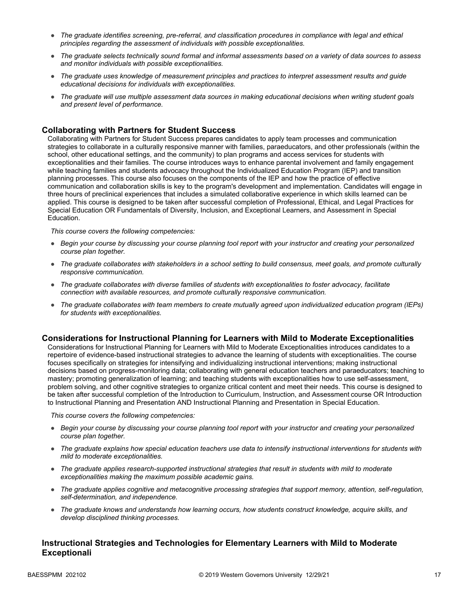- *The graduate identifies screening, pre-referral, and classification procedures in compliance with legal and ethical principles regarding the assessment of individuals with possible exceptionalities.*
- *The graduate selects technically sound formal and informal assessments based on a variety of data sources to assess and monitor individuals with possible exceptionalities.*
- *The graduate uses knowledge of measurement principles and practices to interpret assessment results and guide educational decisions for individuals with exceptionalities.*
- *The graduate will use multiple assessment data sources in making educational decisions when writing student goals and present level of performance.*

### **Collaborating with Partners for Student Success**

Collaborating with Partners for Student Success prepares candidates to apply team processes and communication strategies to collaborate in a culturally responsive manner with families, paraeducators, and other professionals (within the school, other educational settings, and the community) to plan programs and access services for students with exceptionalities and their families. The course introduces ways to enhance parental involvement and family engagement while teaching families and students advocacy throughout the Individualized Education Program (IEP) and transition planning processes. This course also focuses on the components of the IEP and how the practice of effective communication and collaboration skills is key to the program's development and implementation. Candidates will engage in three hours of preclinical experiences that includes a simulated collaborative experience in which skills learned can be applied. This course is designed to be taken after successful completion of Professional, Ethical, and Legal Practices for Special Education OR Fundamentals of Diversity, Inclusion, and Exceptional Learners, and Assessment in Special Education.

*This course covers the following competencies:*

- *Begin your course by discussing your course planning tool report with your instructor and creating your personalized course plan together.*
- *The graduate collaborates with stakeholders in a school setting to build consensus, meet goals, and promote culturally responsive communication.*
- *The graduate collaborates with diverse families of students with exceptionalities to foster advocacy, facilitate connection with available resources, and promote culturally responsive communication.*
- *The graduate collaborates with team members to create mutually agreed upon individualized education program (IEPs) for students with exceptionalities.*

#### **Considerations for Instructional Planning for Learners with Mild to Moderate Exceptionalities**

Considerations for Instructional Planning for Learners with Mild to Moderate Exceptionalities introduces candidates to a repertoire of evidence-based instructional strategies to advance the learning of students with exceptionalities. The course focuses specifically on strategies for intensifying and individualizing instructional interventions; making instructional decisions based on progress-monitoring data; collaborating with general education teachers and paraeducators; teaching to mastery; promoting generalization of learning; and teaching students with exceptionalities how to use self-assessment, problem solving, and other cognitive strategies to organize critical content and meet their needs. This course is designed to be taken after successful completion of the Introduction to Curriculum, Instruction, and Assessment course OR Introduction to Instructional Planning and Presentation AND Instructional Planning and Presentation in Special Education.

*This course covers the following competencies:*

- *Begin your course by discussing your course planning tool report with your instructor and creating your personalized course plan together.*
- *The graduate explains how special education teachers use data to intensify instructional interventions for students with mild to moderate exceptionalities.*
- *The graduate applies research-supported instructional strategies that result in students with mild to moderate exceptionalities making the maximum possible academic gains.*
- *The graduate applies cognitive and metacognitive processing strategies that support memory, attention, self-regulation, self-determination, and independence.*
- *The graduate knows and understands how learning occurs, how students construct knowledge, acquire skills, and develop disciplined thinking processes.*

### **Instructional Strategies and Technologies for Elementary Learners with Mild to Moderate Exceptionali**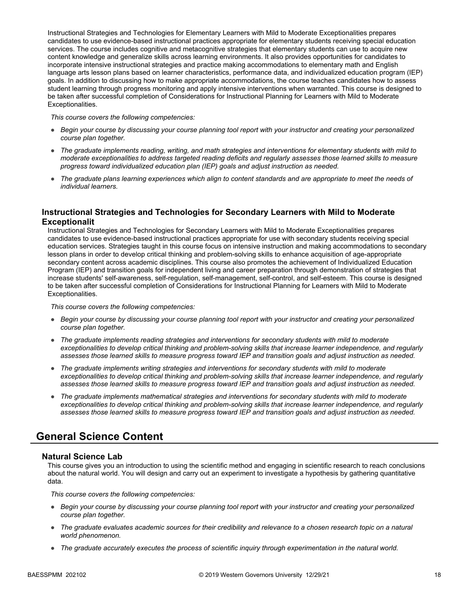Instructional Strategies and Technologies for Elementary Learners with Mild to Moderate Exceptionalities prepares candidates to use evidence-based instructional practices appropriate for elementary students receiving special education services. The course includes cognitive and metacognitive strategies that elementary students can use to acquire new content knowledge and generalize skills across learning environments. It also provides opportunities for candidates to incorporate intensive instructional strategies and practice making accommodations to elementary math and English language arts lesson plans based on learner characteristics, performance data, and individualized education program (IEP) goals. In addition to discussing how to make appropriate accommodations, the course teaches candidates how to assess student learning through progress monitoring and apply intensive interventions when warranted. This course is designed to be taken after successful completion of Considerations for Instructional Planning for Learners with Mild to Moderate Exceptionalities.

*This course covers the following competencies:*

- *Begin your course by discussing your course planning tool report with your instructor and creating your personalized course plan together.*
- *The graduate implements reading, writing, and math strategies and interventions for elementary students with mild to moderate exceptionalities to address targeted reading deficits and regularly assesses those learned skills to measure progress toward individualized education plan (IEP) goals and adjust instruction as needed.*
- *The graduate plans learning experiences which align to content standards and are appropriate to meet the needs of individual learners.*

### **Instructional Strategies and Technologies for Secondary Learners with Mild to Moderate Exceptionalit**

Instructional Strategies and Technologies for Secondary Learners with Mild to Moderate Exceptionalities prepares candidates to use evidence-based instructional practices appropriate for use with secondary students receiving special education services. Strategies taught in this course focus on intensive instruction and making accommodations to secondary lesson plans in order to develop critical thinking and problem-solving skills to enhance acquisition of age-appropriate secondary content across academic disciplines. This course also promotes the achievement of Individualized Education Program (IEP) and transition goals for independent living and career preparation through demonstration of strategies that increase students' self-awareness, self-regulation, self-management, self-control, and self-esteem. This course is designed to be taken after successful completion of Considerations for Instructional Planning for Learners with Mild to Moderate Exceptionalities.

*This course covers the following competencies:*

- *Begin your course by discussing your course planning tool report with your instructor and creating your personalized course plan together.*
- *The graduate implements reading strategies and interventions for secondary students with mild to moderate exceptionalities to develop critical thinking and problem-solving skills that increase learner independence, and regularly assesses those learned skills to measure progress toward IEP and transition goals and adjust instruction as needed.*
- *The graduate implements writing strategies and interventions for secondary students with mild to moderate exceptionalities to develop critical thinking and problem-solving skills that increase learner independence, and regularly assesses those learned skills to measure progress toward IEP and transition goals and adjust instruction as needed.*
- *The graduate implements mathematical strategies and interventions for secondary students with mild to moderate exceptionalities to develop critical thinking and problem-solving skills that increase learner independence, and regularly assesses those learned skills to measure progress toward IEP and transition goals and adjust instruction as needed.*

## **General Science Content**

### **Natural Science Lab**

This course gives you an introduction to using the scientific method and engaging in scientific research to reach conclusions about the natural world. You will design and carry out an experiment to investigate a hypothesis by gathering quantitative data.

- *Begin your course by discussing your course planning tool report with your instructor and creating your personalized course plan together.*
- *The graduate evaluates academic sources for their credibility and relevance to a chosen research topic on a natural world phenomenon.*
- *The graduate accurately executes the process of scientific inquiry through experimentation in the natural world.*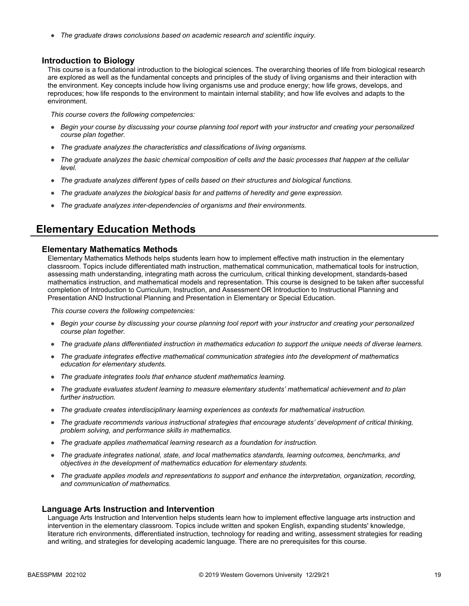● *The graduate draws conclusions based on academic research and scientific inquiry.*

#### **Introduction to Biology**

This course is a foundational introduction to the biological sciences. The overarching theories of life from biological research are explored as well as the fundamental concepts and principles of the study of living organisms and their interaction with the environment. Key concepts include how living organisms use and produce energy; how life grows, develops, and reproduces; how life responds to the environment to maintain internal stability; and how life evolves and adapts to the environment.

*This course covers the following competencies:*

- *Begin your course by discussing your course planning tool report with your instructor and creating your personalized course plan together.*
- *The graduate analyzes the characteristics and classifications of living organisms.*
- *The graduate analyzes the basic chemical composition of cells and the basic processes that happen at the cellular level.*
- *The graduate analyzes different types of cells based on their structures and biological functions.*
- *The graduate analyzes the biological basis for and patterns of heredity and gene expression.*
- *The graduate analyzes inter-dependencies of organisms and their environments.*

### **Elementary Education Methods**

#### **Elementary Mathematics Methods**

Elementary Mathematics Methods helps students learn how to implement effective math instruction in the elementary classroom. Topics include differentiated math instruction, mathematical communication, mathematical tools for instruction, assessing math understanding, integrating math across the curriculum, critical thinking development, standards-based mathematics instruction, and mathematical models and representation. This course is designed to be taken after successful completion of Introduction to Curriculum, Instruction, and Assessment OR Introduction to Instructional Planning and Presentation AND Instructional Planning and Presentation in Elementary or Special Education.

*This course covers the following competencies:*

- *Begin your course by discussing your course planning tool report with your instructor and creating your personalized course plan together.*
- *The graduate plans differentiated instruction in mathematics education to support the unique needs of diverse learners.*
- *The graduate integrates effective mathematical communication strategies into the development of mathematics education for elementary students.*
- *The graduate integrates tools that enhance student mathematics learning.*
- *The graduate evaluates student learning to measure elementary students' mathematical achievement and to plan further instruction.*
- *The graduate creates interdisciplinary learning experiences as contexts for mathematical instruction.*
- *The graduate recommends various instructional strategies that encourage students' development of critical thinking, problem solving, and performance skills in mathematics.*
- *The graduate applies mathematical learning research as a foundation for instruction.*
- *The graduate integrates national, state, and local mathematics standards, learning outcomes, benchmarks, and objectives in the development of mathematics education for elementary students.*
- *The graduate applies models and representations to support and enhance the interpretation, organization, recording, and communication of mathematics.*

### **Language Arts Instruction and Intervention**

Language Arts Instruction and Intervention helps students learn how to implement effective language arts instruction and intervention in the elementary classroom. Topics include written and spoken English, expanding students' knowledge, literature rich environments, differentiated instruction, technology for reading and writing, assessment strategies for reading and writing, and strategies for developing academic language. There are no prerequisites for this course.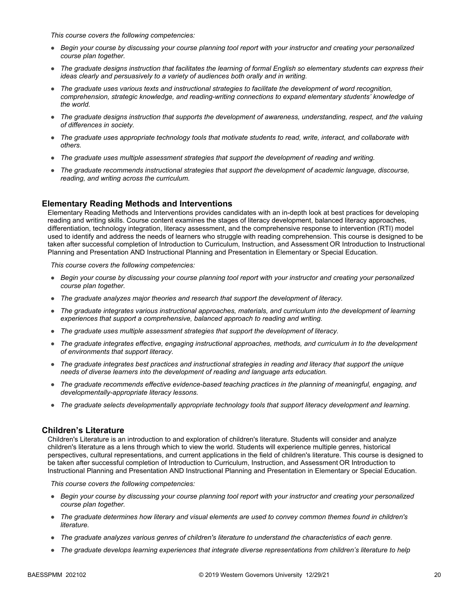*This course covers the following competencies:*

- *Begin your course by discussing your course planning tool report with your instructor and creating your personalized course plan together.*
- *The graduate designs instruction that facilitates the learning of formal English so elementary students can express their ideas clearly and persuasively to a variety of audiences both orally and in writing.*
- *The graduate uses various texts and instructional strategies to facilitate the development of word recognition, comprehension, strategic knowledge, and reading-writing connections to expand elementary students' knowledge of the world.*
- *The graduate designs instruction that supports the development of awareness, understanding, respect, and the valuing of differences in society.*
- *The graduate uses appropriate technology tools that motivate students to read, write, interact, and collaborate with others.*
- *The graduate uses multiple assessment strategies that support the development of reading and writing.*
- *The graduate recommends instructional strategies that support the development of academic language, discourse, reading, and writing across the curriculum.*

### **Elementary Reading Methods and Interventions**

Elementary Reading Methods and Interventions provides candidates with an in-depth look at best practices for developing reading and writing skills. Course content examines the stages of literacy development, balanced literacy approaches, differentiation, technology integration, literacy assessment, and the comprehensive response to intervention (RTI) model used to identify and address the needs of learners who struggle with reading comprehension. This course is designed to be taken after successful completion of Introduction to Curriculum, Instruction, and Assessment OR Introduction to Instructional Planning and Presentation AND Instructional Planning and Presentation in Elementary or Special Education.

*This course covers the following competencies:*

- *Begin your course by discussing your course planning tool report with your instructor and creating your personalized course plan together.*
- *The graduate analyzes major theories and research that support the development of literacy.*
- *The graduate integrates various instructional approaches, materials, and curriculum into the development of learning experiences that support a comprehensive, balanced approach to reading and writing.*
- *The graduate uses multiple assessment strategies that support the development of literacy.*
- *The graduate integrates effective, engaging instructional approaches, methods, and curriculum in to the development of environments that support literacy.*
- *The graduate integrates best practices and instructional strategies in reading and literacy that support the unique needs of diverse learners into the development of reading and language arts education.*
- *The graduate recommends effective evidence-based teaching practices in the planning of meaningful, engaging, and developmentally-appropriate literacy lessons.*
- *The graduate selects developmentally appropriate technology tools that support literacy development and learning.*

### **Children's Literature**

Children's Literature is an introduction to and exploration of children's literature. Students will consider and analyze children's literature as a lens through which to view the world. Students will experience multiple genres, historical perspectives, cultural representations, and current applications in the field of children's literature. This course is designed to be taken after successful completion of Introduction to Curriculum, Instruction, and Assessment OR Introduction to Instructional Planning and Presentation AND Instructional Planning and Presentation in Elementary or Special Education.

- *Begin your course by discussing your course planning tool report with your instructor and creating your personalized course plan together.*
- *The graduate determines how literary and visual elements are used to convey common themes found in children's literature.*
- *The graduate analyzes various genres of children's literature to understand the characteristics of each genre.*
- *The graduate develops learning experiences that integrate diverse representations from children's literature to help*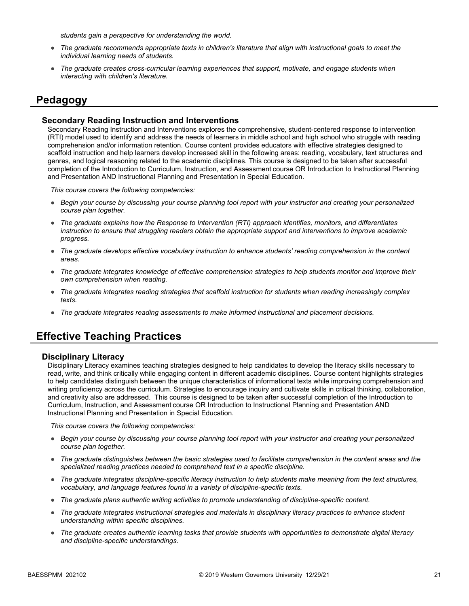*students gain a perspective for understanding the world.*

- *The graduate recommends appropriate texts in children's literature that align with instructional goals to meet the individual learning needs of students.*
- *The graduate creates cross-curricular learning experiences that support, motivate, and engage students when interacting with children's literature.*

### **Pedagogy**

#### **Secondary Reading Instruction and Interventions**

Secondary Reading Instruction and Interventions explores the comprehensive, student-centered response to intervention (RTI) model used to identify and address the needs of learners in middle school and high school who struggle with reading comprehension and/or information retention. Course content provides educators with effective strategies designed to scaffold instruction and help learners develop increased skill in the following areas: reading, vocabulary, text structures and genres, and logical reasoning related to the academic disciplines. This course is designed to be taken after successful completion of the Introduction to Curriculum, Instruction, and Assessment course OR Introduction to Instructional Planning and Presentation AND Instructional Planning and Presentation in Special Education.

*This course covers the following competencies:*

- *Begin your course by discussing your course planning tool report with your instructor and creating your personalized course plan together.*
- *The graduate explains how the Response to Intervention (RTI) approach identifies, monitors, and differentiates instruction to ensure that struggling readers obtain the appropriate support and interventions to improve academic progress.*
- *The graduate develops effective vocabulary instruction to enhance students' reading comprehension in the content areas.*
- *The graduate integrates knowledge of effective comprehension strategies to help students monitor and improve their own comprehension when reading.*
- *The graduate integrates reading strategies that scaffold instruction for students when reading increasingly complex texts.*
- *The graduate integrates reading assessments to make informed instructional and placement decisions.*

### **Effective Teaching Practices**

#### **Disciplinary Literacy**

Disciplinary Literacy examines teaching strategies designed to help candidates to develop the literacy skills necessary to read, write, and think critically while engaging content in different academic disciplines. Course content highlights strategies to help candidates distinguish between the unique characteristics of informational texts while improving comprehension and writing proficiency across the curriculum. Strategies to encourage inquiry and cultivate skills in critical thinking, collaboration, and creativity also are addressed. This course is designed to be taken after successful completion of the Introduction to Curriculum, Instruction, and Assessment course OR Introduction to Instructional Planning and Presentation AND Instructional Planning and Presentation in Special Education.

- *Begin your course by discussing your course planning tool report with your instructor and creating your personalized course plan together.*
- *The graduate distinguishes between the basic strategies used to facilitate comprehension in the content areas and the specialized reading practices needed to comprehend text in a specific discipline.*
- *The graduate integrates discipline-specific literacy instruction to help students make meaning from the text structures, vocabulary, and language features found in a variety of discipline-specific texts.*
- *The graduate plans authentic writing activities to promote understanding of discipline-specific content.*
- *The graduate integrates instructional strategies and materials in disciplinary literacy practices to enhance student understanding within specific disciplines.*
- *The graduate creates authentic learning tasks that provide students with opportunities to demonstrate digital literacy and discipline-specific understandings.*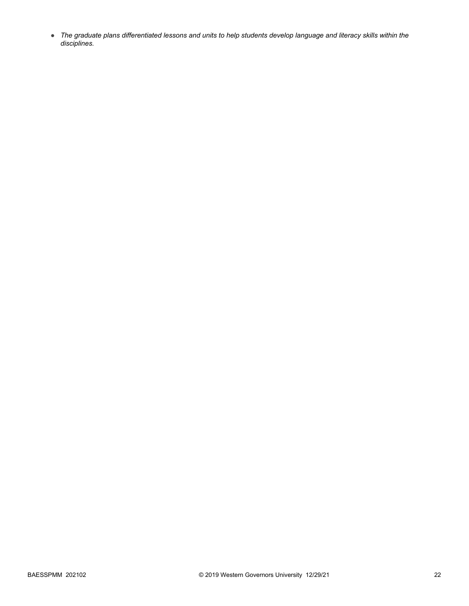● *The graduate plans differentiated lessons and units to help students develop language and literacy skills within the disciplines.*